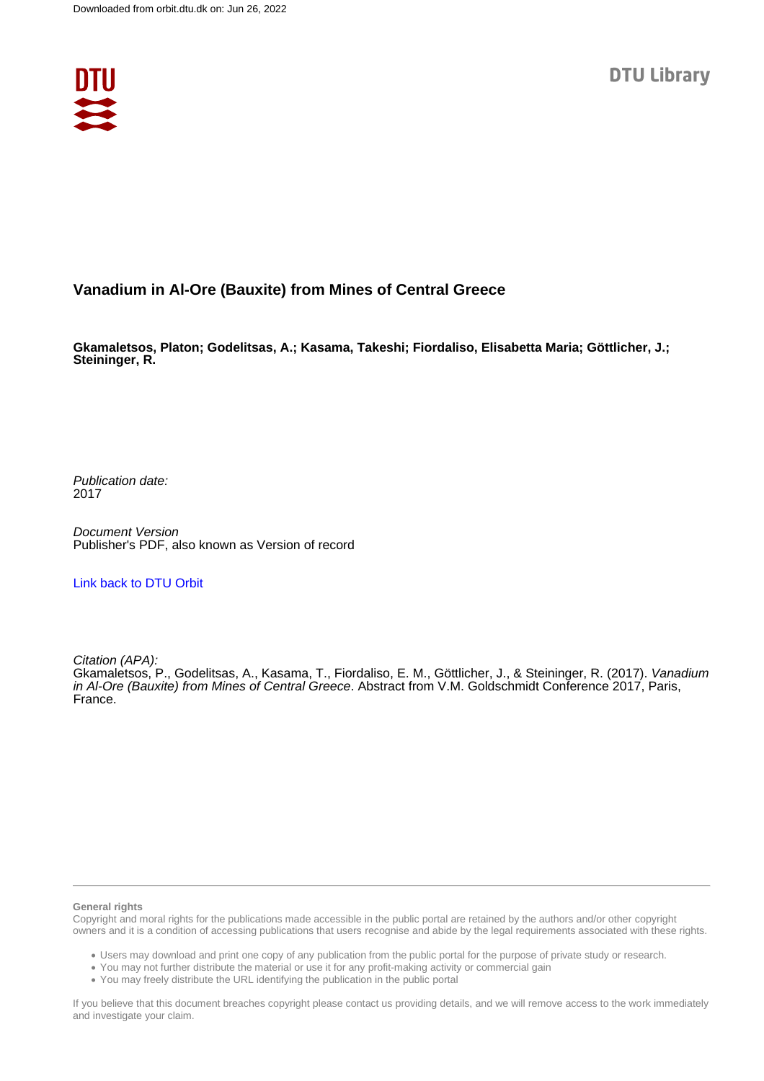

## **Vanadium in Al-Ore (Bauxite) from Mines of Central Greece**

**Gkamaletsos, Platon; Godelitsas, A.; Kasama, Takeshi; Fiordaliso, Elisabetta Maria; Göttlicher, J.; Steininger, R.**

Publication date: 2017

Document Version Publisher's PDF, also known as Version of record

[Link back to DTU Orbit](https://orbit.dtu.dk/en/publications/8e9bea79-eeb6-4cb4-ac34-ab338097b5ea)

Citation (APA):

Gkamaletsos, P., Godelitsas, A., Kasama, T., Fiordaliso, E. M., Göttlicher, J., & Steininger, R. (2017). Vanadium in Al-Ore (Bauxite) from Mines of Central Greece. Abstract from V.M. Goldschmidt Conference 2017, Paris, France.

## **General rights**

Copyright and moral rights for the publications made accessible in the public portal are retained by the authors and/or other copyright owners and it is a condition of accessing publications that users recognise and abide by the legal requirements associated with these rights.

Users may download and print one copy of any publication from the public portal for the purpose of private study or research.

- You may not further distribute the material or use it for any profit-making activity or commercial gain
- You may freely distribute the URL identifying the publication in the public portal

If you believe that this document breaches copyright please contact us providing details, and we will remove access to the work immediately and investigate your claim.